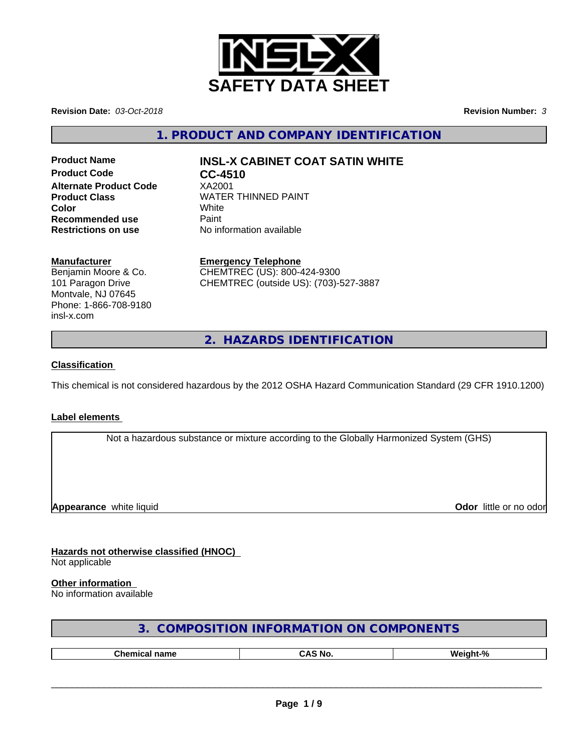

**Revision Date:** *03-Oct-2018* **Revision Number:** *3*

**1. PRODUCT AND COMPANY IDENTIFICATION**

**Product Code CC-4510 Alternate Product Code** XA2001 **Recommended use** Paint<br> **Restrictions on use** No inf

# **Product Name INSL-X CABINET COAT SATIN WHITE**

**Product Class WATER THINNED PAINT Color** White White **No information available** 

# **Manufacturer**

Benjamin Moore & Co. 101 Paragon Drive Montvale, NJ 07645 Phone: 1-866-708-9180 insl-x.com

**Emergency Telephone** CHEMTREC (US): 800-424-9300 CHEMTREC (outside US): (703)-527-3887

**2. HAZARDS IDENTIFICATION**

# **Classification**

This chemical is not considered hazardous by the 2012 OSHA Hazard Communication Standard (29 CFR 1910.1200)

# **Label elements**

Not a hazardous substance or mixture according to the Globally Harmonized System (GHS)

**Appearance** white liquid

**Odor** little or no odor

**Hazards not otherwise classified (HNOC)** Not applicable

#### **Other information**

No information available

| 3. COMPOSITION INFORMATION ON COMPONENTS |  |
|------------------------------------------|--|
|------------------------------------------|--|

| . .<br>юше | $\overline{ }$ |
|------------|----------------|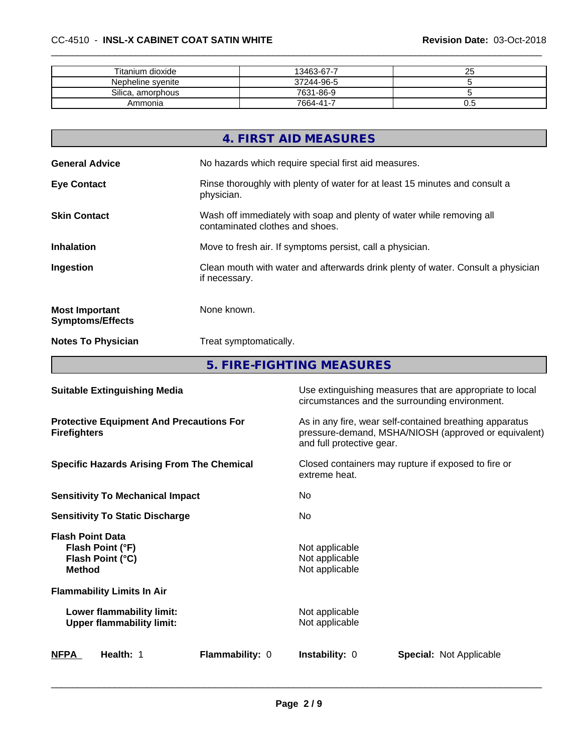| Titanium dioxide  | 13463-67-7 | n r<br>້ |
|-------------------|------------|----------|
| Nepheline syenite | 37244-96-5 |          |
| Silica, amorphous | 7631-86-9  |          |
| Ammonia           | 7664-41-7  | v.ə      |

|                                                  | 4. FIRST AID MEASURES                                                                                    |
|--------------------------------------------------|----------------------------------------------------------------------------------------------------------|
| <b>General Advice</b>                            | No hazards which require special first aid measures.                                                     |
| <b>Eye Contact</b>                               | Rinse thoroughly with plenty of water for at least 15 minutes and consult a<br>physician.                |
| <b>Skin Contact</b>                              | Wash off immediately with soap and plenty of water while removing all<br>contaminated clothes and shoes. |
| <b>Inhalation</b>                                | Move to fresh air. If symptoms persist, call a physician.                                                |
| Ingestion                                        | Clean mouth with water and afterwards drink plenty of water. Consult a physician<br>if necessary.        |
| <b>Most Important</b><br><b>Symptoms/Effects</b> | None known.                                                                                              |
| <b>Notes To Physician</b>                        | Treat symptomatically.                                                                                   |
|                                                  |                                                                                                          |

**5. FIRE-FIGHTING MEASURES**

| Flammability: 0<br><b>NFPA</b><br>Health: 1                                      | <b>Instability: 0</b><br><b>Special: Not Applicable</b>                                                                                      |  |
|----------------------------------------------------------------------------------|----------------------------------------------------------------------------------------------------------------------------------------------|--|
| Lower flammability limit:<br><b>Upper flammability limit:</b>                    | Not applicable<br>Not applicable                                                                                                             |  |
| <b>Flammability Limits In Air</b>                                                |                                                                                                                                              |  |
| <b>Flash Point Data</b><br>Flash Point (°F)<br>Flash Point (°C)<br><b>Method</b> | Not applicable<br>Not applicable<br>Not applicable                                                                                           |  |
| <b>Sensitivity To Static Discharge</b>                                           | No.                                                                                                                                          |  |
| <b>Sensitivity To Mechanical Impact</b>                                          | No.                                                                                                                                          |  |
| <b>Specific Hazards Arising From The Chemical</b>                                | Closed containers may rupture if exposed to fire or<br>extreme heat.                                                                         |  |
| <b>Protective Equipment And Precautions For</b><br><b>Firefighters</b>           | As in any fire, wear self-contained breathing apparatus<br>pressure-demand, MSHA/NIOSH (approved or equivalent)<br>and full protective gear. |  |
| <b>Suitable Extinguishing Media</b>                                              | Use extinguishing measures that are appropriate to local<br>circumstances and the surrounding environment.                                   |  |
|                                                                                  |                                                                                                                                              |  |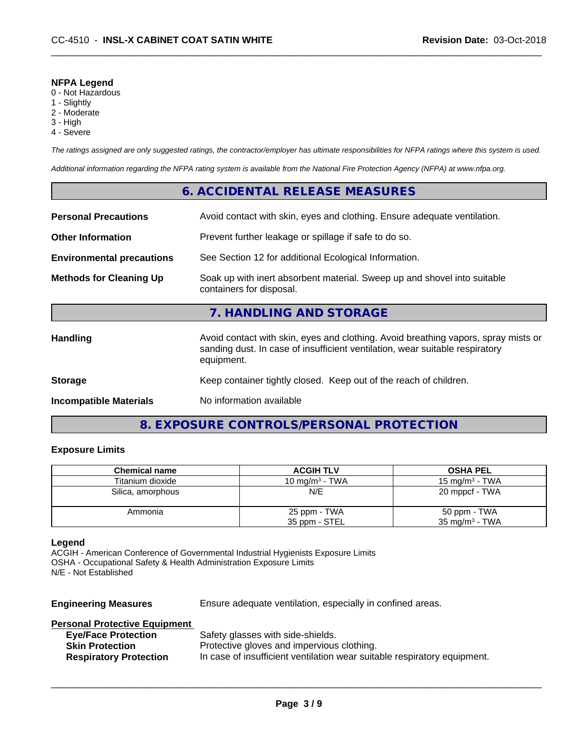#### **NFPA Legend**

- 0 Not Hazardous
- 1 Slightly
- 2 Moderate
- 3 High
- 4 Severe

*The ratings assigned are only suggested ratings, the contractor/employer has ultimate responsibilities for NFPA ratings where this system is used.*

*Additional information regarding the NFPA rating system is available from the National Fire Protection Agency (NFPA) at www.nfpa.org.*

# **6. ACCIDENTAL RELEASE MEASURES**

| <b>Personal Precautions</b>                                                                                                            | Avoid contact with skin, eyes and clothing. Ensure adequate ventilation.                                                                                                         |  |
|----------------------------------------------------------------------------------------------------------------------------------------|----------------------------------------------------------------------------------------------------------------------------------------------------------------------------------|--|
| <b>Other Information</b>                                                                                                               | Prevent further leakage or spillage if safe to do so.                                                                                                                            |  |
| <b>Environmental precautions</b>                                                                                                       | See Section 12 for additional Ecological Information.                                                                                                                            |  |
| Soak up with inert absorbent material. Sweep up and shovel into suitable<br><b>Methods for Cleaning Up</b><br>containers for disposal. |                                                                                                                                                                                  |  |
|                                                                                                                                        | 7. HANDLING AND STORAGE                                                                                                                                                          |  |
| <b>Handling</b>                                                                                                                        | Avoid contact with skin, eyes and clothing. Avoid breathing vapors, spray mists or<br>sanding dust. In case of insufficient ventilation, wear suitable respiratory<br>equipment. |  |
| <b>Storage</b>                                                                                                                         | Keep container tightly closed. Keep out of the reach of children.                                                                                                                |  |
| <b>Incompatible Materials</b>                                                                                                          | No information available                                                                                                                                                         |  |

# **8. EXPOSURE CONTROLS/PERSONAL PROTECTION**

# **Exposure Limits**

| <b>Chemical name</b> | <b>ACGIH TLV</b>  | <b>OSHA PEL</b>           |
|----------------------|-------------------|---------------------------|
| Titanium dioxide     | 10 mg/m $3$ - TWA | 15 mg/m $3$ - TWA         |
| Silica, amorphous    | N/E               | 20 mppcf - TWA            |
| Ammonia              | 25 ppm - TWA      | 50 ppm - TWA              |
|                      | 35 ppm - STEL     | $35 \text{ mg/m}^3$ - TWA |

#### **Legend**

ACGIH - American Conference of Governmental Industrial Hygienists Exposure Limits OSHA - Occupational Safety & Health Administration Exposure Limits N/E - Not Established

**Engineering Measures** Ensure adequate ventilation, especially in confined areas.

# **Personal Protective Equipment**

| <b>Eye/Face Protection</b>    | Safety glasses with side-shields.                                        |
|-------------------------------|--------------------------------------------------------------------------|
| <b>Skin Protection</b>        | Protective gloves and impervious clothing.                               |
| <b>Respiratory Protection</b> | In case of insufficient ventilation wear suitable respiratory equipment. |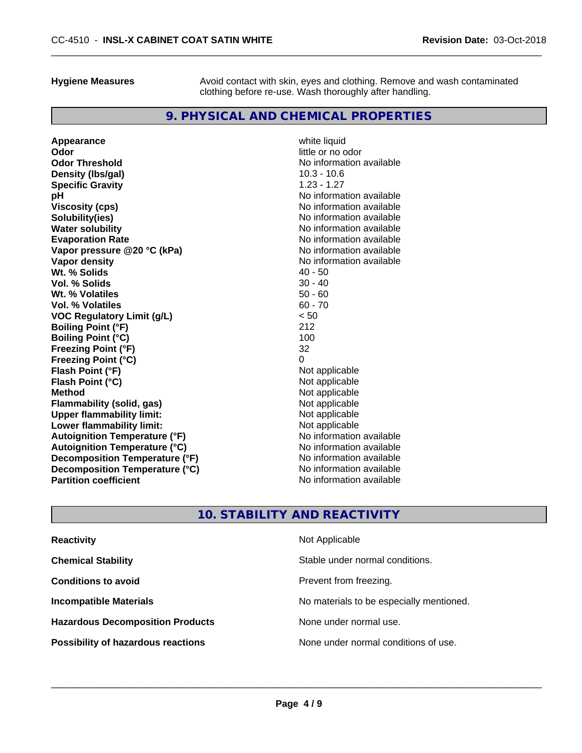**Hygiene Measures** Avoid contact with skin, eyes and clothing. Remove and wash contaminated clothing before re-use. Wash thoroughly after handling.

# **9. PHYSICAL AND CHEMICAL PROPERTIES**

**Appearance** white liquid<br> **Odor** little or no o **Odor Threshold** No information available **Density (Ibs/gal)** 10.3 - 10.6<br> **Specific Gravity** 1.23 - 1.27 **Specific Gravity pH**<br>
Viscosity (cps) The Contract of the Contract of the Viscosity (cps) and Viscosity (cps) **Solubility(ies)** No information available **Water solubility** No information available **Evaporation Rate Conservation Rate** No information available<br> **Vapor pressure @20 °C (kPa)** No information available **Vapor pressure @20 °C (kPa) Vapor density**<br> **We Solids** (*We Solids* (*We Solids* (*We Solids* (*Me )* (*A)* (*A)* (*A)* (*A)* (*A)* (*A)* (*A)* (*A)* (*A)* (*A)* (*A)* (*A)* (*A)* (*A)* (*A)* (*A)* (*A)* (*A)* (*A)* (*A)* (*A)* (*A)* (*A)* (*A)* ( **Wt. % Solids** 40 - 50 **Vol. % Solids Wt. % Volatiles 50 - 60<br>
<b>Vol. % Volatiles** 50 - 70<br> **Sol. % Volatiles** 50 - 70 **Vol. % Volatiles VOC Regulatory Limit (g/L)** < 50 **Boiling Point (°F)** 212 **Boiling Point**  $(^{\circ}C)$  100 **Freezing Point (°F)** 32 **Freezing Point (°C)** 0 **Flash Point (°F)**<br> **Flash Point (°C)**<br> **Flash Point (°C)**<br> **C Flash Point (°C)**<br>Method **Flammability** (solid, gas) **Upper flammability limit:**<br> **Lower flammability limit:** Not applicable Not applicable **Lower flammability limit:**<br> **Autoignition Temperature (°F)** Not applicable have not available **Autoignition Temperature (°F) Autoignition Temperature (°C)** No information available **Decomposition Temperature (°F)** No information available **Decomposition Temperature (°C)** No information available **Partition coefficient** and the settlement of the settlement of the No information available

**Odor** little or no odor **Viscosity (cps)** No information available **Not applicable**<br>Not applicable

# **10. STABILITY AND REACTIVITY**

| <b>Reactivity</b>                         | Not Applicable                           |
|-------------------------------------------|------------------------------------------|
| <b>Chemical Stability</b>                 | Stable under normal conditions.          |
| <b>Conditions to avoid</b>                | Prevent from freezing.                   |
| <b>Incompatible Materials</b>             | No materials to be especially mentioned. |
| <b>Hazardous Decomposition Products</b>   | None under normal use.                   |
| <b>Possibility of hazardous reactions</b> | None under normal conditions of use.     |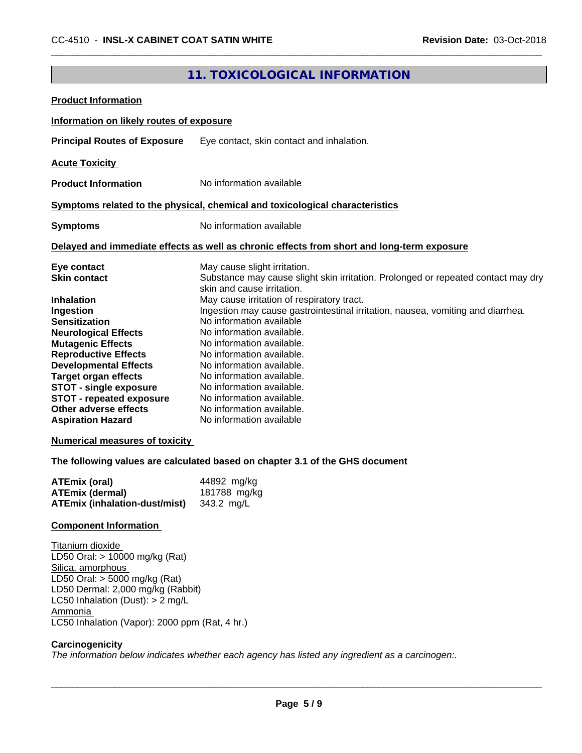# **11. TOXICOLOGICAL INFORMATION**

| <b>Product Information</b>                                                                                                                                                                                                                                                                                                                                   |                                                                                                                                                                                                                                                                                                                                                                                                                                                                 |
|--------------------------------------------------------------------------------------------------------------------------------------------------------------------------------------------------------------------------------------------------------------------------------------------------------------------------------------------------------------|-----------------------------------------------------------------------------------------------------------------------------------------------------------------------------------------------------------------------------------------------------------------------------------------------------------------------------------------------------------------------------------------------------------------------------------------------------------------|
| Information on likely routes of exposure                                                                                                                                                                                                                                                                                                                     |                                                                                                                                                                                                                                                                                                                                                                                                                                                                 |
| <b>Principal Routes of Exposure</b>                                                                                                                                                                                                                                                                                                                          | Eye contact, skin contact and inhalation.                                                                                                                                                                                                                                                                                                                                                                                                                       |
| <b>Acute Toxicity</b>                                                                                                                                                                                                                                                                                                                                        |                                                                                                                                                                                                                                                                                                                                                                                                                                                                 |
| <b>Product Information</b>                                                                                                                                                                                                                                                                                                                                   | No information available                                                                                                                                                                                                                                                                                                                                                                                                                                        |
|                                                                                                                                                                                                                                                                                                                                                              | Symptoms related to the physical, chemical and toxicological characteristics                                                                                                                                                                                                                                                                                                                                                                                    |
| <b>Symptoms</b>                                                                                                                                                                                                                                                                                                                                              | No information available                                                                                                                                                                                                                                                                                                                                                                                                                                        |
|                                                                                                                                                                                                                                                                                                                                                              | Delayed and immediate effects as well as chronic effects from short and long-term exposure                                                                                                                                                                                                                                                                                                                                                                      |
| Eye contact<br><b>Skin contact</b><br><b>Inhalation</b>                                                                                                                                                                                                                                                                                                      | May cause slight irritation.<br>Substance may cause slight skin irritation. Prolonged or repeated contact may dry<br>skin and cause irritation.<br>May cause irritation of respiratory tract.                                                                                                                                                                                                                                                                   |
| Ingestion<br><b>Sensitization</b><br><b>Neurological Effects</b><br><b>Mutagenic Effects</b><br><b>Reproductive Effects</b><br><b>Developmental Effects</b><br><b>Target organ effects</b><br><b>STOT - single exposure</b><br><b>STOT - repeated exposure</b><br>Other adverse effects<br><b>Aspiration Hazard</b><br><b>Numerical measures of toxicity</b> | Ingestion may cause gastrointestinal irritation, nausea, vomiting and diarrhea.<br>No information available<br>No information available.<br>No information available.<br>No information available.<br>No information available.<br>No information available.<br>No information available.<br>No information available.<br>No information available.<br>No information available<br>The following values are calculated based on chapter 3.1 of the GHS document |
| <b>ATEmix (oral)</b><br><b>ATEmix (dermal)</b><br><b>ATEmix (inhalation-dust/mist)</b>                                                                                                                                                                                                                                                                       | 44892 mg/kg<br>181788 mg/kg<br>343.2 mg/L                                                                                                                                                                                                                                                                                                                                                                                                                       |
| <b>Component Information</b>                                                                                                                                                                                                                                                                                                                                 |                                                                                                                                                                                                                                                                                                                                                                                                                                                                 |
| Titanium dioxide<br>LD50 Oral: > 10000 mg/kg (Rat)<br>Silica, amorphous<br>LD50 Oral: $>$ 5000 mg/kg (Rat)<br>LD50 Dermal: 2,000 mg/kg (Rabbit)<br>LC50 Inhalation (Dust): $> 2$ mg/L<br>Ammonia<br>LC50 Inhalation (Vapor): 2000 ppm (Rat, 4 hr.)                                                                                                           |                                                                                                                                                                                                                                                                                                                                                                                                                                                                 |
| Carcinogenicity                                                                                                                                                                                                                                                                                                                                              | The information below indicates whether each agency has listed any ingredient as a carcinogen:.                                                                                                                                                                                                                                                                                                                                                                 |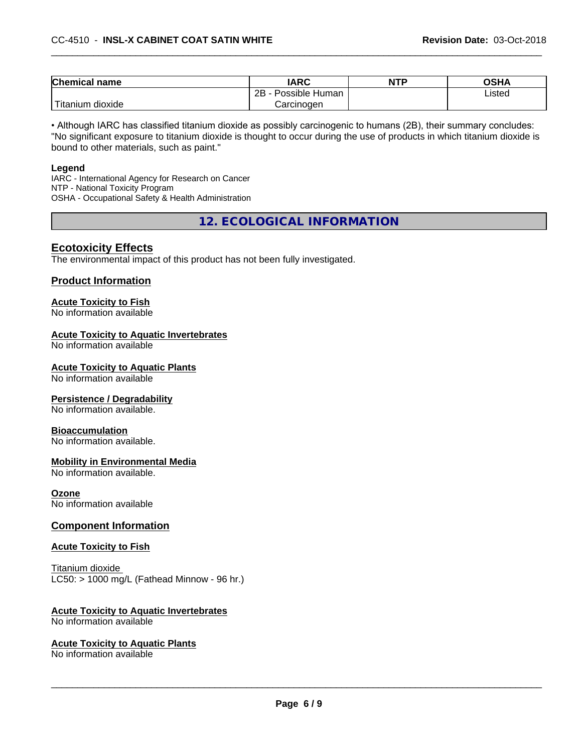| <b>Chemical name</b>         | <b>IARC</b>          | <b>NTP</b> | <b>OSHA</b> |
|------------------------------|----------------------|------------|-------------|
|                              | 2B<br>Possible Human |            | Listed      |
| .<br>n dioxide<br>, Titanıum | Carcinoɑen           |            |             |

• Although IARC has classified titanium dioxide as possibly carcinogenic to humans (2B), their summary concludes: "No significant exposure to titanium dioxide is thought to occur during the use of products in which titanium dioxide is bound to other materials, such as paint."

#### **Legend**

IARC - International Agency for Research on Cancer NTP - National Toxicity Program OSHA - Occupational Safety & Health Administration

**12. ECOLOGICAL INFORMATION**

# **Ecotoxicity Effects**

The environmental impact of this product has not been fully investigated.

#### **Product Information**

# **Acute Toxicity to Fish**

No information available

### **Acute Toxicity to Aquatic Invertebrates**

No information available

#### **Acute Toxicity to Aquatic Plants**

No information available

#### **Persistence / Degradability**

No information available.

#### **Bioaccumulation**

No information available.

#### **Mobility in Environmental Media**

No information available.

#### **Ozone**

No information available

#### **Component Information**

#### **Acute Toxicity to Fish**

Titanium dioxide  $LC50:$  > 1000 mg/L (Fathead Minnow - 96 hr.)

#### **Acute Toxicity to Aquatic Invertebrates**

No information available

#### **Acute Toxicity to Aquatic Plants**

No information available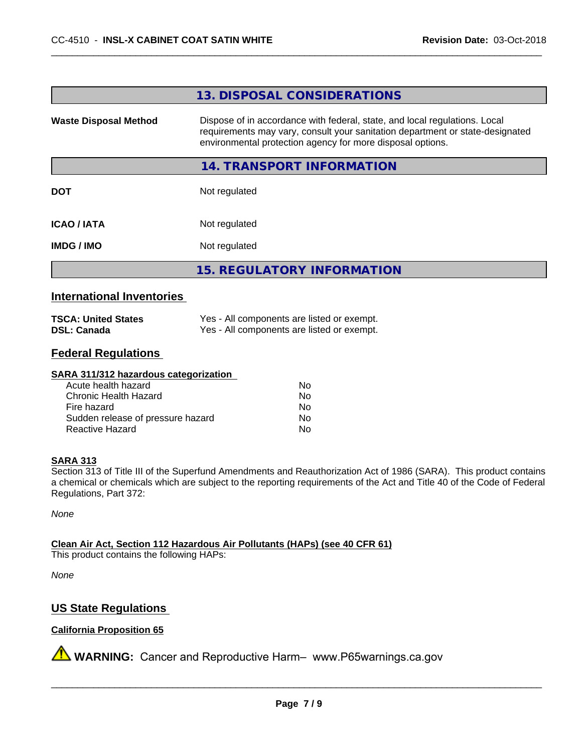#### **13. DISPOSAL CONSIDERATIONS**

**Waste Disposal Method** Dispose of in accordance with federal, state, and local regulations. Local requirements may vary, consult your sanitation department or state-designated environmental protection agency for more disposal options.

#### **14. TRANSPORT INFORMATION**

**DOT** Not regulated

**ICAO / IATA** Not regulated

**IMDG / IMO** Not regulated

**15. REGULATORY INFORMATION**

# **International Inventories**

| <b>TSCA: United States</b> | Yes - All components are listed or exempt. |
|----------------------------|--------------------------------------------|
| <b>DSL: Canada</b>         | Yes - All components are listed or exempt. |

# **Federal Regulations**

#### **SARA 311/312 hazardous categorization**

| Acute health hazard               | Nο |  |
|-----------------------------------|----|--|
| Chronic Health Hazard             | Nο |  |
| Fire hazard                       | Nο |  |
| Sudden release of pressure hazard | Nο |  |
| Reactive Hazard                   | Nο |  |

#### **SARA 313**

Section 313 of Title III of the Superfund Amendments and Reauthorization Act of 1986 (SARA). This product contains a chemical or chemicals which are subject to the reporting requirements of the Act and Title 40 of the Code of Federal Regulations, Part 372:

*None*

**Clean Air Act,Section 112 Hazardous Air Pollutants (HAPs) (see 40 CFR 61)**

This product contains the following HAPs:

*None*

# **US State Regulations**

### **California Proposition 65**

**AVIMARNING:** Cancer and Reproductive Harm– www.P65warnings.ca.gov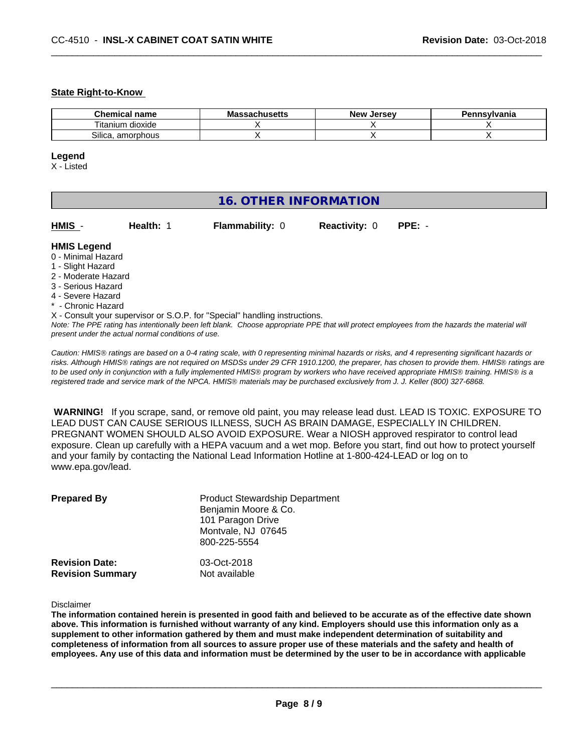#### **State Right-to-Know**

| name<br>hemical                 | 1.0.0110<br>Ma<br>saunus <del>c</del> us | ∴Jerse<br>Ne۱ | avlvan<br>anıa |
|---------------------------------|------------------------------------------|---------------|----------------|
| --<br>dioxide<br>l itanium.     |                                          |               |                |
| <b>-</b><br>Silica<br>amorphous |                                          |               |                |

#### **Legend**

X - Listed

| <b>16. OTHER INFORMATION</b>                                                                                                                          |                                                    |                                                                            |                      |                                                                                                                                               |
|-------------------------------------------------------------------------------------------------------------------------------------------------------|----------------------------------------------------|----------------------------------------------------------------------------|----------------------|-----------------------------------------------------------------------------------------------------------------------------------------------|
| HMIS -                                                                                                                                                | Health: 1                                          | <b>Flammability: 0</b>                                                     | <b>Reactivity: 0</b> | $PPE: -$                                                                                                                                      |
| <b>HMIS Legend</b><br>0 - Minimal Hazard<br>1 - Slight Hazard<br>2 - Moderate Hazard<br>3 - Serious Hazard<br>4 - Severe Hazard<br>* - Chronic Hazard |                                                    |                                                                            |                      |                                                                                                                                               |
|                                                                                                                                                       | present under the actual normal conditions of use. | X - Consult your supervisor or S.O.P. for "Special" handling instructions. |                      | Note: The PPE rating has intentionally been left blank. Choose appropriate PPE that will protect employees from the hazards the material will |

*Caution: HMISÒ ratings are based on a 0-4 rating scale, with 0 representing minimal hazards or risks, and 4 representing significant hazards or risks. Although HMISÒ ratings are not required on MSDSs under 29 CFR 1910.1200, the preparer, has chosen to provide them. HMISÒ ratings are to be used only in conjunction with a fully implemented HMISÒ program by workers who have received appropriate HMISÒ training. HMISÒ is a registered trade and service mark of the NPCA. HMISÒ materials may be purchased exclusively from J. J. Keller (800) 327-6868.*

 **WARNING!** If you scrape, sand, or remove old paint, you may release lead dust. LEAD IS TOXIC. EXPOSURE TO LEAD DUST CAN CAUSE SERIOUS ILLNESS, SUCH AS BRAIN DAMAGE, ESPECIALLY IN CHILDREN. PREGNANT WOMEN SHOULD ALSO AVOID EXPOSURE.Wear a NIOSH approved respirator to control lead exposure. Clean up carefully with a HEPA vacuum and a wet mop. Before you start, find out how to protect yourself and your family by contacting the National Lead Information Hotline at 1-800-424-LEAD or log on to www.epa.gov/lead.

| <b>Prepared By</b>      | <b>Product Stewardship Department</b><br>Benjamin Moore & Co.<br>101 Paragon Drive<br>Montvale, NJ 07645<br>800-225-5554 |
|-------------------------|--------------------------------------------------------------------------------------------------------------------------|
| <b>Revision Date:</b>   | 03-Oct-2018                                                                                                              |
| <b>Revision Summary</b> | Not available                                                                                                            |

#### Disclaimer

The information contained herein is presented in good faith and believed to be accurate as of the effective date shown above. This information is furnished without warranty of any kind. Employers should use this information only as a **supplement to other information gathered by them and must make independent determination of suitability and** completeness of information from all sources to assure proper use of these materials and the safety and health of employees. Any use of this data and information must be determined by the user to be in accordance with applicable